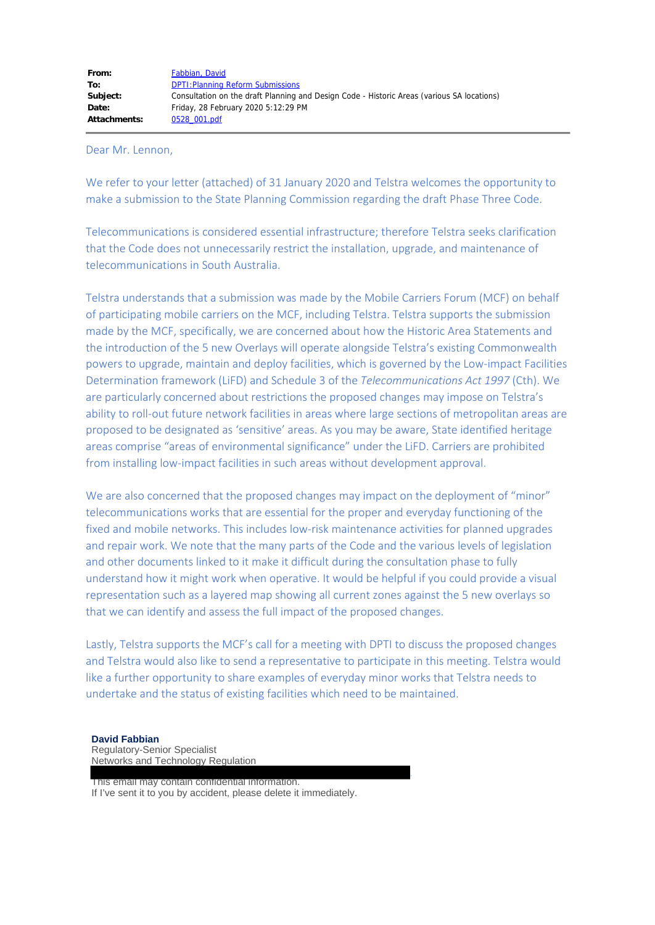Dear Mr. Lennon,

We refer to your letter (attached) of 31 January 2020 and Telstra welcomes the opportunity to make a submission to the State Planning Commission regarding the draft Phase Three Code.

Telecommunications is considered essential infrastructure; therefore Telstra seeks clarification that the Code does not unnecessarily restrict the installation, upgrade, and maintenance of telecommunications in South Australia.

Telstra understands that a submission was made by the Mobile Carriers Forum (MCF) on behalf of participating mobile carriers on the MCF, including Telstra. Telstra supports the submission made by the MCF, specifically, we are concerned about how the Historic Area Statements and the introduction of the 5 new Overlays will operate alongside Telstra's existing Commonwealth powers to upgrade, maintain and deploy facilities, which is governed by the Low-impact Facilities Determination framework (LiFD) and Schedule 3 of the *Telecommunications Act 1997* (Cth). We are particularly concerned about restrictions the proposed changes may impose on Telstra's ability to roll-out future network facilities in areas where large sections of metropolitan areas are proposed to be designated as 'sensitive' areas. As you may be aware, State identified heritage areas comprise "areas of environmental significance" under the LiFD. Carriers are prohibited from installing low-impact facilities in such areas without development approval.

We are also concerned that the proposed changes may impact on the deployment of "minor" telecommunications works that are essential for the proper and everyday functioning of the fixed and mobile networks. This includes low-risk maintenance activities for planned upgrades and repair work. We note that the many parts of the Code and the various levels of legislation and other documents linked to it make it difficult during the consultation phase to fully understand how it might work when operative. It would be helpful if you could provide a visual representation such as a layered map showing all current zones against the 5 new overlays so that we can identify and assess the full impact of the proposed changes.

Lastly, Telstra supports the MCF's call for a meeting with DPTI to discuss the proposed changes and Telstra would also like to send a representative to participate in this meeting. Telstra would like a further opportunity to share examples of everyday minor works that Telstra needs to undertake and the status of existing facilities which need to be maintained.

#### **David Fabbian**

Regulatory-Senior Specialist Networks and Technology Regulation

I his email may contain confidential information. If I've sent it to you by accident, please delete it immediately.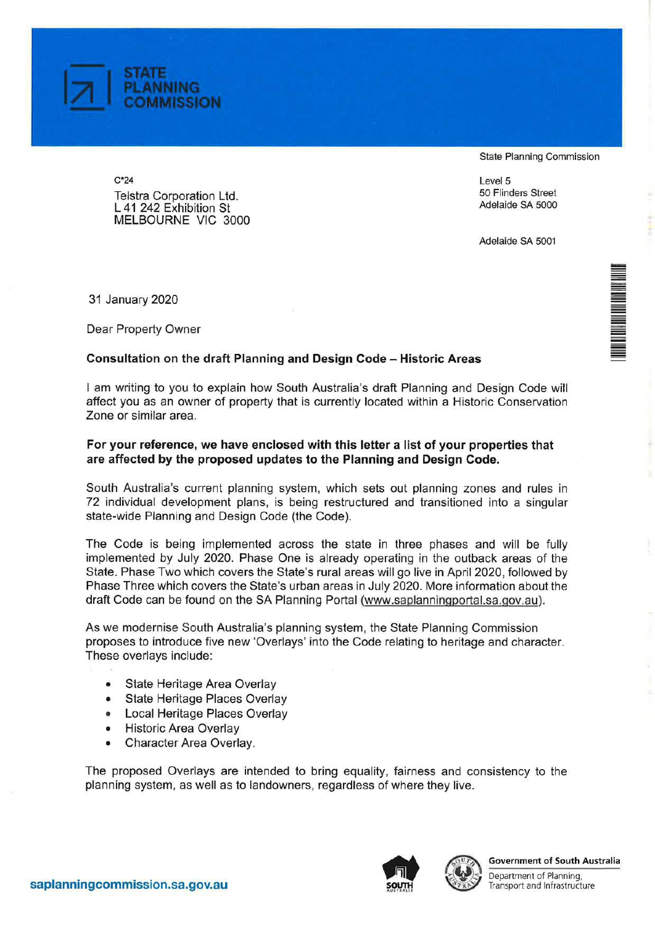

C\*24 Telstra Corporation Ltd. L 41 242 Exhibition St MELBOURNE VIC 3000 State Planning Commission

= =

- --

Level 5 50 Flinders Street Adelaide SA 5000

Adelaide SA 5001

31 January 2020

Dear Property Owner

## **Consultation on the draft Planning and Design Code - Historic Areas**

I am writing to you to explain how South Australia's draft Planning and Design Code will affect you as an owner of property that is currently located within a Historic Conservation Zone or similar area.

## **For your reference, we have enclosed with this letter a list of your properties that are affected by the proposed updates to the Planning and Design Code.**

South Australia's current planning system, which sets out planning zones and rules in 72 individual development plans, is being restructured and transitioned into a singular state-wide Planning and Design Code (the Code).

The Code is being implemented across the state in three phases and will be fully implemented by July 2020. Phase One is already operating in the outback areas of the State. Phase Two which covers the State's rural areas will go live in April 2020, followed by Phase Three which covers the State's urban areas in July 2020. More information about the draft Code can be found on the SA Planning Portal (www.saplanningportal.sa.gov.au}.

As we modernise South Australia's planning system, the State Planning Commission proposes to introduce five new 'Overlays' into the Code relating to heritage and character. These overlays include:

- State Heritage Area Overlay
- State Heritage Places Overlay
- Local Heritage Places Overlay
- Historic Area Overlay
- Character Area Overlay.

The proposed Overlays are intended to bring equality, fairness and consistency to the planning system, as well as to landowners, regardless of where they live.





~ **Government of South Australia (**

**TRANSPORT AND SOUTH**<br>Transport and Infrastructure Department of Planning,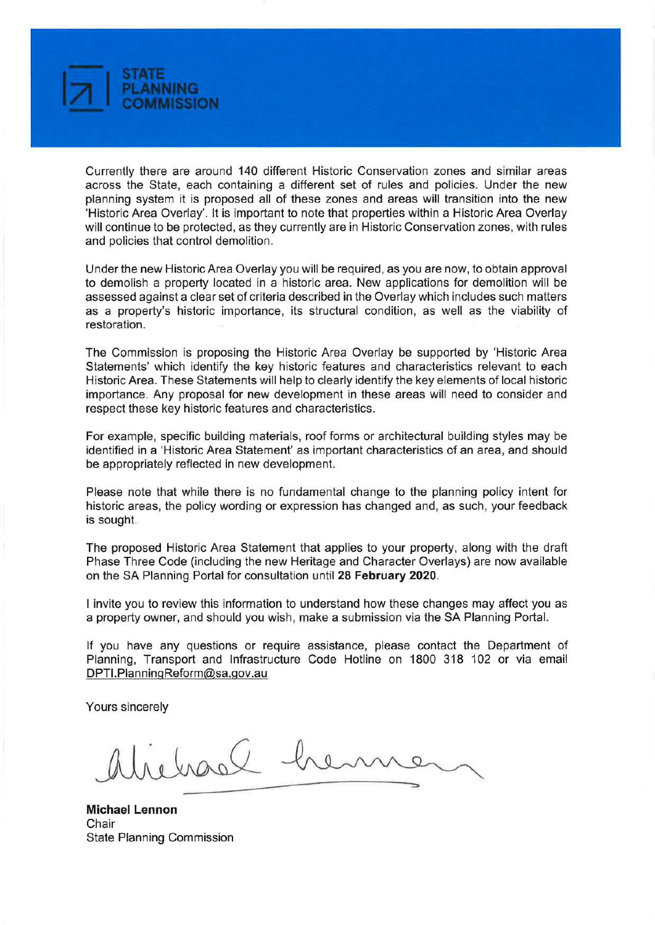

Currently there are around 140 different Historic Conservation zones and similar areas across the State, each containing a different set of rules and policies. Under the new planning system it is proposed all of these zones and areas will transition into the new 'Historic Area Overlay'. It is important to note that properties within a Historic Area Overlay will continue to be protected, as they currently are in Historic Conservation zones, with rules and policies that control demolition.

Under the new Historic Area Overlay you will be required, as you are now, to obtain approval to demolish a property located in a historic area. New applications for demolition will be assessed against a clear set of criteria described in the Overlay which includes such matters as a property's historic importance, its structural condition, as well as the viability of restoration.

The Commission is proposing the Historic Area Overlay be supported by 'Historic Area Statements' which identify the key historic features and characteristics relevant to each Historic Area. These Statements will help to clearly identify the key elements of local historic importance. Any proposal for new development in these areas will need to consider and respect these key historic features and characteristics.

For example, specific building materials, roof forms or architectural building styles may be identified in a 'Historic Area Statement' as important characteristics of an area, and should be appropriately reflected in new development.

Please note that while there is no fundamental change to the planning policy intent for historic areas, the policy wording or expression has changed and, as such, your feedback is sought.

The proposed Historic Area Statement that applies to your property, along with the draft Phase Three Code (including the new Heritage and Character Overlays) are now available on the SA Planning Portal for consultation until **28 February 2020.** 

I invite you to review this information to understand how these changes may affect you as a property owner, and should you wish, make a submission via the SA Planning Portal.

If you have any questions or require assistance, please contact the Department of Planning, Transport and Infrastructure Code Hotline on 1800 318 102 or via email DPTI.PlanningReform@sa.gov.au

Yours sincerely

liebrach her

**Michael Lennon Chair** State Planning Commission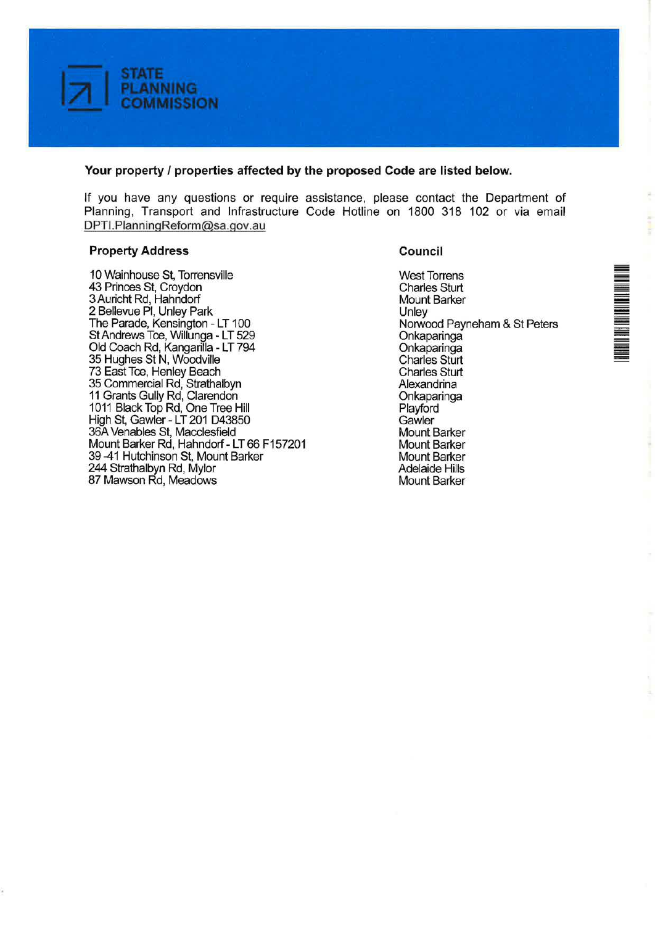

### **Your property** / **properties affected by the proposed Code are listed below.**

If you have any questions or require assistance, please contact the Department of Planning, Transport and Infrastructure Code Hotline on 1800 318 102 or via email DPTI.PlanningReform@sa.gov.au

#### **Property Address**

10 Wainhouse St, Torrensville 43 Princes St, Croydon 3 Auricht Rd, Hahndorf 2 Bellevue Pl, Unley Park The Parade, Kensington - LT 100 St Andrews Tee, Willunga - LT 529 Old Coach Rd, Kangarilla - LT 794 35 Hughes St N, Woodville 73 East Tce, Henley Beach 35 Commercial Rd, Strathalbyn 11 Grants Gully Rd, Clarendon 1011 Black Top Rd, One Tree Hill High St, Gawler- LT 201 043850 36A Venables St, Macclesfield Mount Barker Rd, Hahndorf - LT 66 F157201 39 -41 Hutchinson St, Mount Barker 244 Strathalbyn Rd, Mylor 87 Mawson Rd, Meadows

West Torrens Charles Sturt Mount Barker

**Council** 

**Unley** Norwood Payneham & St Peters Onkaparinga Onkaparinga Charles Sturt Charles Sturt Alexandrina Onkaparinga Playford **Gawler** Mount Barker Mount Barker Mount Barker Adelaide Hills Mount Barker

-